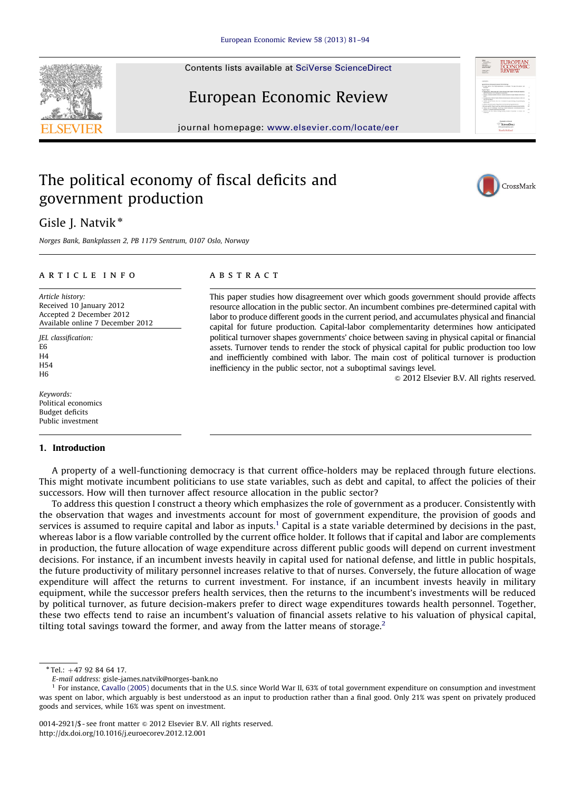Contents lists available at [SciVerse ScienceDirect](www.elsevier.com/locate/eer)

# European Economic Review

journal homepage: <www.elsevier.com/locate/eer>

## The political economy of fiscal deficits and government production

## Gisle J. Natvik\*

Norges Bank, Bankplassen 2, PB 1179 Sentrum, 0107 Oslo, Norway

#### article info

Article history: Received 10 January 2012 Accepted 2 December 2012 Available online 7 December 2012

JEL classification: E6 H4 H54 H6

Keywords: Political economics Budget deficits Public investment

#### 1. Introduction

### **ABSTRACT**

This paper studies how disagreement over which goods government should provide affects resource allocation in the public sector. An incumbent combines pre-determined capital with labor to produce different goods in the current period, and accumulates physical and financial capital for future production. Capital-labor complementarity determines how anticipated political turnover shapes governments' choice between saving in physical capital or financial assets. Turnover tends to render the stock of physical capital for public production too low and inefficiently combined with labor. The main cost of political turnover is production inefficiency in the public sector, not a suboptimal savings level.

 $\odot$  2012 Elsevier B.V. All rights reserved.

A property of a well-functioning democracy is that current office-holders may be replaced through future elections. This might motivate incumbent politicians to use state variables, such as debt and capital, to affect the policies of their successors. How will then turnover affect resource allocation in the public sector?

To address this question I construct a theory which emphasizes the role of government as a producer. Consistently with the observation that wages and investments account for most of government expenditure, the provision of goods and services is assumed to require capital and labor as inputs.<sup>1</sup> Capital is a state variable determined by decisions in the past, whereas labor is a flow variable controlled by the current office holder. It follows that if capital and labor are complements in production, the future allocation of wage expenditure across different public goods will depend on current investment decisions. For instance, if an incumbent invests heavily in capital used for national defense, and little in public hospitals, the future productivity of military personnel increases relative to that of nurses. Conversely, the future allocation of wage expenditure will affect the returns to current investment. For instance, if an incumbent invests heavily in military equipment, while the successor prefers health services, then the returns to the incumbent's investments will be reduced by political turnover, as future decision-makers prefer to direct wage expenditures towards health personnel. Together, these two effects tend to raise an incumbent's valuation of financial assets relative to his valuation of physical capital, tilting total savings toward the former, and away from the latter means of storage.<sup>2</sup>







 $*$  Tel.:  $+47$  92 84 64 17.

E-mail address: [gisle-james.natvik@norges-bank.no](mailto:gisle-james.natvik@norges-bank.no)

 $1$  For instance, [Cavallo \(2005\)](#page--1-0) documents that in the U.S. since World War II, 63% of total government expenditure on consumption and investment was spent on labor, which arguably is best understood as an input to production rather than a final good. Only 21% was spent on privately produced goods and services, while 16% was spent on investment.

<sup>0014-2921/\$ -</sup> see front matter  $\odot$  2012 Elsevier B.V. All rights reserved. [http://dx.doi.org/10.1016/j.euroecorev.2012.12.001](dx.doi.org/10.1016/j.euroecorev.2012.12.001)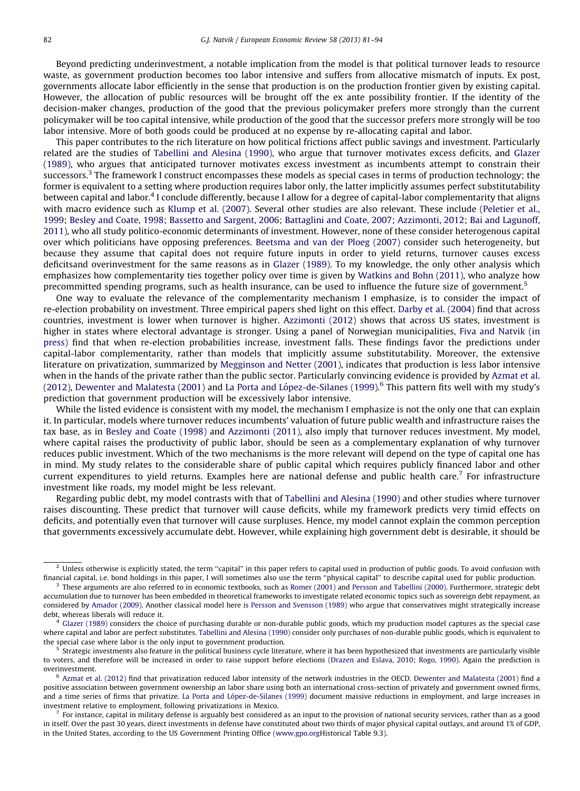Beyond predicting underinvestment, a notable implication from the model is that political turnover leads to resource waste, as government production becomes too labor intensive and suffers from allocative mismatch of inputs. Ex post, governments allocate labor efficiently in the sense that production is on the production frontier given by existing capital. However, the allocation of public resources will be brought off the ex ante possibility frontier. If the identity of the decision-maker changes, production of the good that the previous policymaker prefers more strongly than the current policymaker will be too capital intensive, while production of the good that the successor prefers more strongly will be too labor intensive. More of both goods could be produced at no expense by re-allocating capital and labor.

This paper contributes to the rich literature on how political frictions affect public savings and investment. Particularly related are the studies of [Tabellini and Alesina \(1990\),](#page--1-0) who argue that turnover motivates excess deficits, and [Glazer](#page--1-0) [\(1989\)](#page--1-0), who argues that anticipated turnover motivates excess investment as incumbents attempt to constrain their successors.<sup>3</sup> The framework I construct encompasses these models as special cases in terms of production technology; the former is equivalent to a setting where production requires labor only, the latter implicitly assumes perfect substitutability between capital and labor.<sup>4</sup> I conclude differently, because I allow for a degree of capital-labor complementarity that aligns with macro evidence such as [Klump et al. \(2007\)](#page--1-0). Several other studies are also relevant. These include ([Peletier et al.,](#page--1-0) [1999](#page--1-0); [Besley and Coate, 1998;](#page--1-0) [Bassetto and Sargent, 2006](#page--1-0); [Battaglini and Coate, 2007](#page--1-0); [Azzimonti, 2012](#page--1-0); [Bai and Lagunoff,](#page--1-0) [2011](#page--1-0)), who all study politico-economic determinants of investment. However, none of these consider heterogenous capital over which politicians have opposing preferences. [Beetsma and van der Ploeg \(2007\)](#page--1-0) consider such heterogeneity, but because they assume that capital does not require future inputs in order to yield returns, turnover causes excess deficitsand overinvestment for the same reasons as in [Glazer \(1989\).](#page--1-0) To my knowledge, the only other analysis which emphasizes how complementarity ties together policy over time is given by [Watkins and Bohn \(2011\),](#page--1-0) who analyze how precommitted spending programs, such as health insurance, can be used to influence the future size of government.<sup>5</sup>

One way to evaluate the relevance of the complementarity mechanism I emphasize, is to consider the impact of re-election probability on investment. Three empirical papers shed light on this effect. [Darby et al. \(2004\)](#page--1-0) find that across countries, investment is lower when turnover is higher. [Azzimonti \(2012\)](#page--1-0) shows that across US states, investment is higher in states where electoral advantage is stronger. Using a panel of Norwegian municipalities, [Fiva and Natvik \(in](#page--1-0) [press\)](#page--1-0) find that when re-election probabilities increase, investment falls. These findings favor the predictions under capital-labor complementarity, rather than models that implicitly assume substitutability. Moreover, the extensive literature on privatization, summarized by [Megginson and Netter \(2001\)](#page--1-0), indicates that production is less labor intensive when in the hands of the private rather than the public sector. Particularly convincing evidence is provided by [Azmat et al.](#page--1-0) [\(2012\)](#page--1-0), [Dewenter and Malatesta \(2001\)](#page--1-0) and La Porta and López-de-Silanes (1999).<sup>6</sup> This pattern fits well with my study's prediction that government production will be excessively labor intensive.

While the listed evidence is consistent with my model, the mechanism I emphasize is not the only one that can explain it. In particular, models where turnover reduces incumbents' valuation of future public wealth and infrastructure raises the tax base, as in [Besley and Coate \(1998\)](#page--1-0) and [Azzimonti \(2011\),](#page--1-0) also imply that turnover reduces investment. My model, where capital raises the productivity of public labor, should be seen as a complementary explanation of why turnover reduces public investment. Which of the two mechanisms is the more relevant will depend on the type of capital one has in mind. My study relates to the considerable share of public capital which requires publicly financed labor and other current expenditures to yield returns. Examples here are national defense and public health care.<sup>7</sup> For infrastructure investment like roads, my model might be less relevant.

Regarding public debt, my model contrasts with that of [Tabellini and Alesina \(1990\)](#page--1-0) and other studies where turnover raises discounting. These predict that turnover will cause deficits, while my framework predicts very timid effects on deficits, and potentially even that turnover will cause surpluses. Hence, my model cannot explain the common perception that governments excessively accumulate debt. However, while explaining high government debt is desirable, it should be

 $^2$  Unless otherwise is explicitly stated, the term "capital" in this paper refers to capital used in production of public goods. To avoid confusion with financial capital, i.e. bond holdings in this paper, I will sometimes also use the term ''physical capital'' to describe capital used for public production.

 $3$  These arguments are also referred to in economic textbooks, such as [Romer \(2001\)](#page--1-0) and [Persson and Tabellini \(2000\).](#page--1-0) Furthermore, strategic debt accumulation due to turnover has been embedded in theoretical frameworks to investigate related economic topics such as sovereign debt repayment, as considered by [Amador \(2009\).](#page--1-0) Another classical model here is [Persson and Svensson \(1989\)](#page--1-0) who argue that conservatives might strategically increase debt, whereas liberals will reduce it.

<sup>&</sup>lt;sup>4</sup> [Glazer \(1989\)](#page--1-0) considers the choice of purchasing durable or non-durable public goods, which my production model captures as the special case where capital and labor are perfect substitutes. [Tabellini and Alesina \(1990\)](#page--1-0) consider only purchases of non-durable public goods, which is equivalent to the special case where labor is the only input to government production.

 $5$  Strategic investments also feature in the political business cycle literature, where it has been hypothesized that investments are particularly visible to voters, and therefore will be increased in order to raise support before elections ([Drazen and Eslava, 2010](#page--1-0); [Rogo, 1990](#page--1-0)). Again the prediction is overinvestment.

<sup>6</sup> [Azmat et al. \(2012\)](#page--1-0) find that privatization reduced labor intensity of the network industries in the OECD. [Dewenter and Malatesta \(2001\)](#page--1-0) find a positive association between government ownership an labor share using both an international cross-section of privately and government owned firms, and a time series of firms that privatize. La Porta and López-de-Silanes (1999) document massive reductions in employment, and large increases in investment relative to employment, following privatizations in Mexico.

 $^7$  For instance, capital in military defense is arguably best considered as an input to the provision of national security services, rather than as a good in itself. Over the past 30 years, direct investments in defense have constituted about two thirds of major physical capital outlays, and around 1% of GDP, in the United States, according to the US Government Printing Office (<www.gpo.org>Historical Table 9.3).